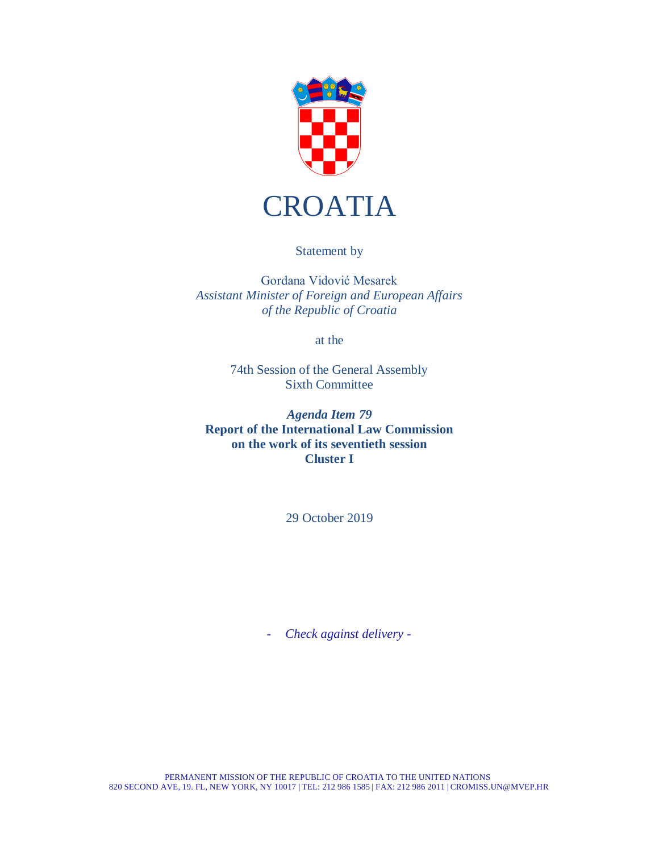

Statement by

Gordana Vidović Mesarek *Assistant Minister of Foreign and European Affairs of the Republic of Croatia*

at the

74th Session of the General Assembly Sixth Committee

*Agenda Item 79* **Report of the International Law Commission on the work of its seventieth session Cluster I**

29 October 2019

- *Check against delivery -*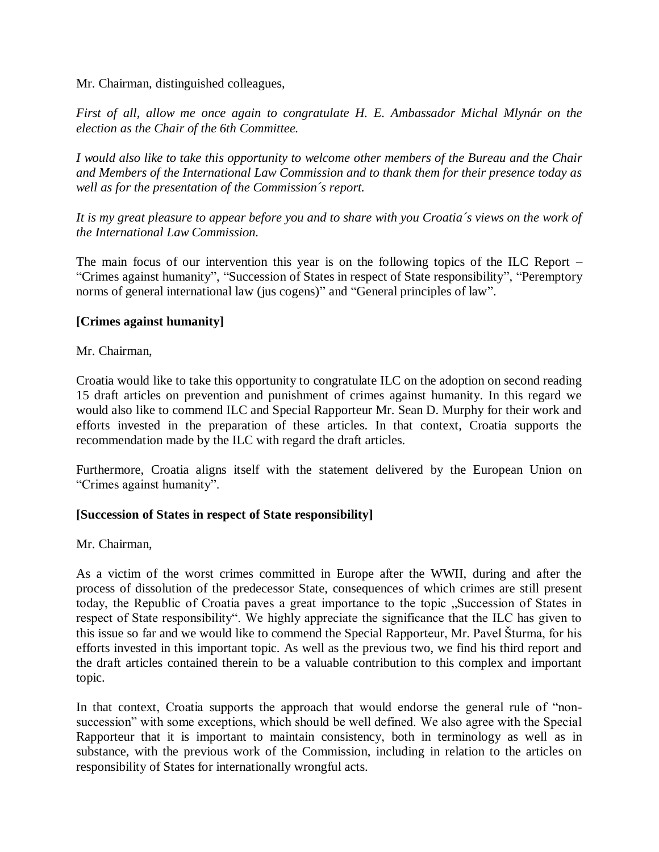Mr. Chairman, distinguished colleagues,

*First of all, allow me once again to congratulate H. E. Ambassador Michal Mlynár on the election as the Chair of the 6th Committee.* 

*I would also like to take this opportunity to welcome other members of the Bureau and the Chair and Members of the International Law Commission and to thank them for their presence today as well as for the presentation of the Commission´s report.*

It is my great pleasure to appear before you and to share with you Croatia's views on the work of *the International Law Commission.*

The main focus of our intervention this year is on the following topics of the ILC Report – "Crimes against humanity", "Succession of States in respect of State responsibility", "Peremptory norms of general international law (jus cogens)" and "General principles of law".

# **[Crimes against humanity]**

Mr. Chairman,

Croatia would like to take this opportunity to congratulate ILC on the adoption on second reading 15 draft articles on prevention and punishment of crimes against humanity. In this regard we would also like to commend ILC and Special Rapporteur Mr. Sean D. Murphy for their work and efforts invested in the preparation of these articles. In that context, Croatia supports the recommendation made by the ILC with regard the draft articles.

Furthermore, Croatia aligns itself with the statement delivered by the European Union on "Crimes against humanity".

# **[Succession of States in respect of State responsibility]**

Mr. Chairman,

As a victim of the worst crimes committed in Europe after the WWII, during and after the process of dissolution of the predecessor State, consequences of which crimes are still present today, the Republic of Croatia paves a great importance to the topic "Succession of States in respect of State responsibility". We highly appreciate the significance that the ILC has given to this issue so far and we would like to commend the Special Rapporteur, Mr. Pavel Šturma, for his efforts invested in this important topic. As well as the previous two, we find his third report and the draft articles contained therein to be a valuable contribution to this complex and important topic.

In that context, Croatia supports the approach that would endorse the general rule of "nonsuccession" with some exceptions, which should be well defined. We also agree with the Special Rapporteur that it is important to maintain consistency, both in terminology as well as in substance, with the previous work of the Commission, including in relation to the articles on responsibility of States for internationally wrongful acts.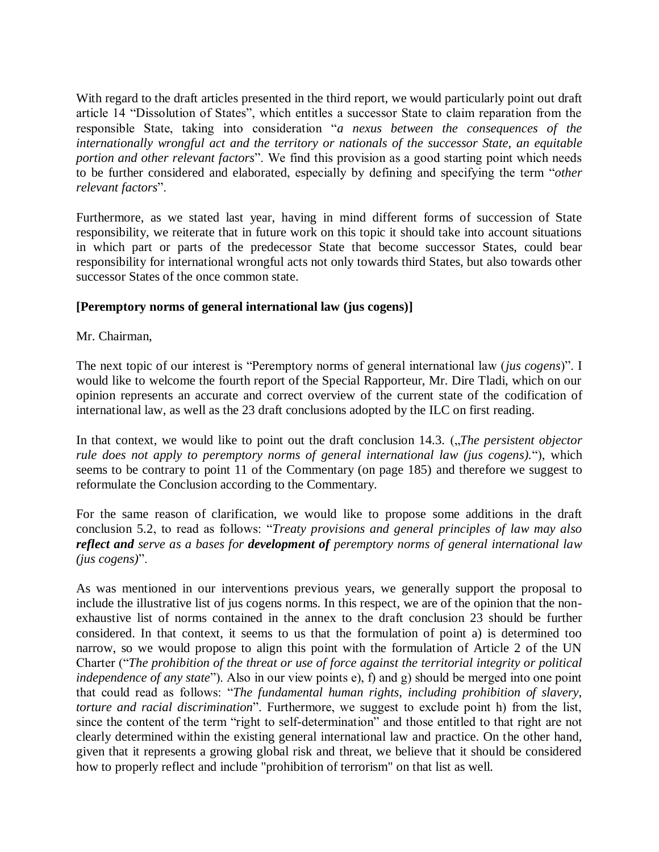With regard to the draft articles presented in the third report, we would particularly point out draft article 14 "Dissolution of States", which entitles a successor State to claim reparation from the responsible State, taking into consideration "*a nexus between the consequences of the internationally wrongful act and the territory or nationals of the successor State, an equitable portion and other relevant factors*". We find this provision as a good starting point which needs to be further considered and elaborated, especially by defining and specifying the term "*other relevant factors*".

Furthermore, as we stated last year, having in mind different forms of succession of State responsibility, we reiterate that in future work on this topic it should take into account situations in which part or parts of the predecessor State that become successor States, could bear responsibility for international wrongful acts not only towards third States, but also towards other successor States of the once common state.

### **[Peremptory norms of general international law (jus cogens)]**

Mr. Chairman,

The next topic of our interest is "Peremptory norms of general international law (*jus cogens*)". I would like to welcome the fourth report of the Special Rapporteur, Mr. Dire Tladi, which on our opinion represents an accurate and correct overview of the current state of the codification of international law, as well as the 23 draft conclusions adopted by the ILC on first reading.

In that context, we would like to point out the draft conclusion 14.3. (*"The persistent objector rule does not apply to peremptory norms of general international law (jus cogens).*"), which seems to be contrary to point 11 of the Commentary (on page 185) and therefore we suggest to reformulate the Conclusion according to the Commentary.

For the same reason of clarification, we would like to propose some additions in the draft conclusion 5.2, to read as follows: "*Treaty provisions and general principles of law may also reflect and serve as a bases for development of peremptory norms of general international law (jus cogens)*".

As was mentioned in our interventions previous years, we generally support the proposal to include the illustrative list of jus cogens norms. In this respect, we are of the opinion that the nonexhaustive list of norms contained in the annex to the draft conclusion 23 should be further considered. In that context, it seems to us that the formulation of point a) is determined too narrow, so we would propose to align this point with the formulation of Article 2 of the UN Charter ("*The prohibition of the threat or use of force against the territorial integrity or political independence of any state*"). Also in our view points e), f) and g) should be merged into one point that could read as follows: "*The fundamental human rights, including prohibition of slavery, torture and racial discrimination*". Furthermore, we suggest to exclude point h) from the list, since the content of the term "right to self-determination" and those entitled to that right are not clearly determined within the existing general international law and practice. On the other hand, given that it represents a growing global risk and threat, we believe that it should be considered how to properly reflect and include "prohibition of terrorism" on that list as well.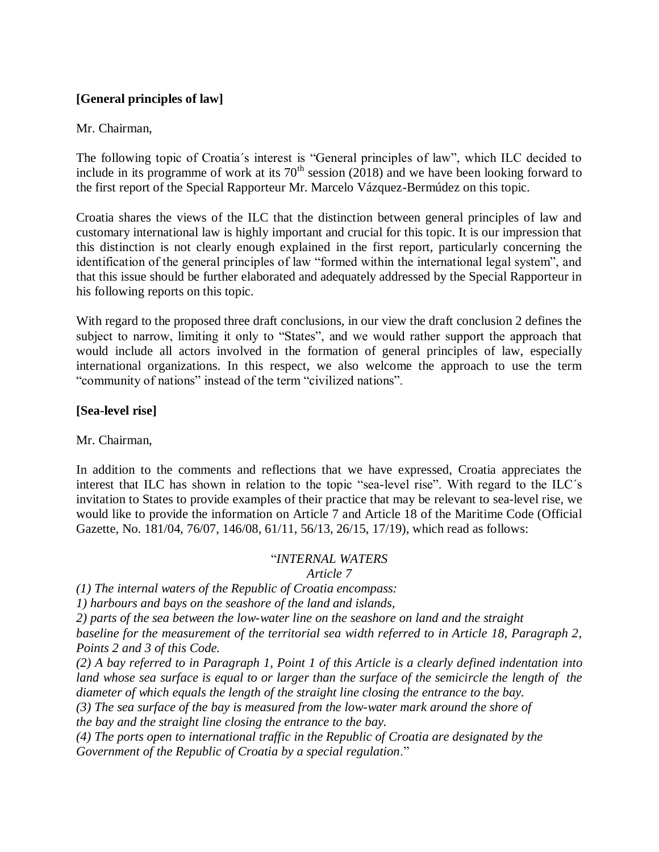# **[General principles of law]**

### Mr. Chairman,

The following topic of Croatia´s interest is "General principles of law", which ILC decided to include in its programme of work at its  $70<sup>th</sup>$  session (2018) and we have been looking forward to the first report of the Special Rapporteur Mr. Marcelo Vázquez-Bermúdez on this topic.

Croatia shares the views of the ILC that the distinction between general principles of law and customary international law is highly important and crucial for this topic. It is our impression that this distinction is not clearly enough explained in the first report, particularly concerning the identification of the general principles of law "formed within the international legal system", and that this issue should be further elaborated and adequately addressed by the Special Rapporteur in his following reports on this topic.

With regard to the proposed three draft conclusions, in our view the draft conclusion 2 defines the subject to narrow, limiting it only to "States", and we would rather support the approach that would include all actors involved in the formation of general principles of law, especially international organizations. In this respect, we also welcome the approach to use the term "community of nations" instead of the term "civilized nations".

# **[Sea-level rise]**

Mr. Chairman,

In addition to the comments and reflections that we have expressed, Croatia appreciates the interest that ILC has shown in relation to the topic "sea-level rise". With regard to the ILC´s invitation to States to provide examples of their practice that may be relevant to sea-level rise, we would like to provide the information on Article 7 and Article 18 of the Maritime Code (Official Gazette, No. 181/04, 76/07, 146/08, 61/11, 56/13, 26/15, 17/19), which read as follows:

# "*INTERNAL WATERS*

*Article 7*

*(1) The internal waters of the Republic of Croatia encompass:*

*1) harbours and bays on the seashore of the land and islands,*

*2) parts of the sea between the low-water line on the seashore on land and the straight*

*baseline for the measurement of the territorial sea width referred to in Article 18, Paragraph 2, Points 2 and 3 of this Code.*

*(2) A bay referred to in Paragraph 1, Point 1 of this Article is a clearly defined indentation into*  land whose sea surface is equal to or larger than the surface of the semicircle the length of the *diameter of which equals the length of the straight line closing the entrance to the bay.*

*(3) The sea surface of the bay is measured from the low-water mark around the shore of the bay and the straight line closing the entrance to the bay.*

*(4) The ports open to international traffic in the Republic of Croatia are designated by the Government of the Republic of Croatia by a special regulation*."